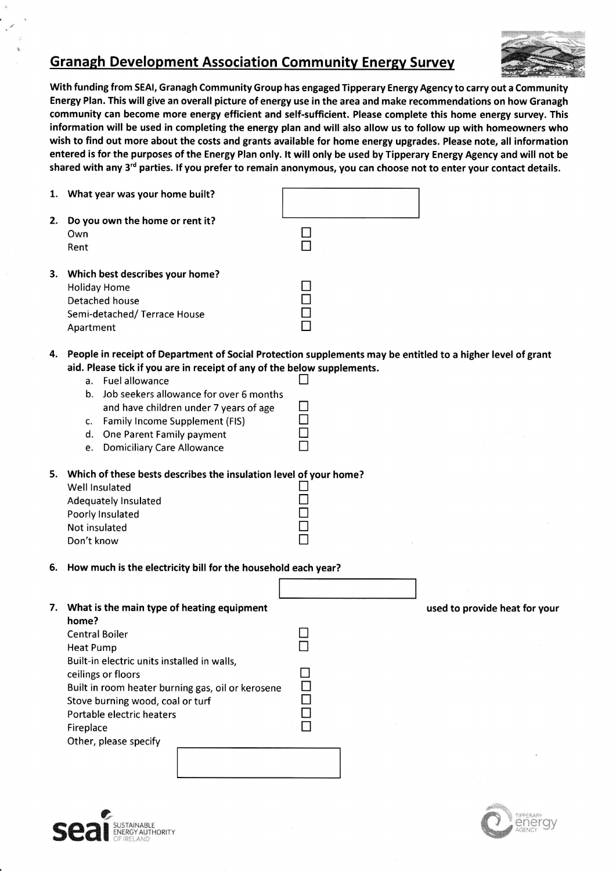## Granaeh Development Association Communitv Energv Survev

t



With funding from SEAI, Granagh Community Group has engaged Tipperary Energy Agency to carry out a Community Energy Plan. This will give an overall picture of energy use in the area and make recommendations on how Granagh community can become more energy efficient and self-sufficient. Please complete this home energy survey. This information will be used in completing the energy plan and will also allow us to follow up with homeowners who wish to find out more about the costs and grants available for home energy upgrades. Please note, all information entered is for the purposes of the Energy Plan only. lt will only be used by Tipperary Energy Agency and will not be shared with any 3<sup>rd</sup> parties. If you prefer to remain anonymous, you can choose not to enter your contact details.

| Own<br>Rent                                                                                                                                                                                                        |                                                                                                                                                                |                                                                                                                                                                                                                                                                                                                                                                    |
|--------------------------------------------------------------------------------------------------------------------------------------------------------------------------------------------------------------------|----------------------------------------------------------------------------------------------------------------------------------------------------------------|--------------------------------------------------------------------------------------------------------------------------------------------------------------------------------------------------------------------------------------------------------------------------------------------------------------------------------------------------------------------|
| <b>Holiday Home</b><br>Detached house<br>Semi-detached/Terrace House<br>Apartment                                                                                                                                  |                                                                                                                                                                |                                                                                                                                                                                                                                                                                                                                                                    |
| a. Fuel allowance<br>Job seekers allowance for over 6 months<br>b.<br>and have children under 7 years of age<br>c. Family Income Supplement (FIS)<br>d. One Parent Family payment<br>e. Domiciliary Care Allowance |                                                                                                                                                                |                                                                                                                                                                                                                                                                                                                                                                    |
| Well Insulated<br>Adequately Insulated<br>Poorly Insulated<br>Not insulated<br>Don't know                                                                                                                          |                                                                                                                                                                |                                                                                                                                                                                                                                                                                                                                                                    |
|                                                                                                                                                                                                                    |                                                                                                                                                                |                                                                                                                                                                                                                                                                                                                                                                    |
| home?<br><b>Central Boiler</b><br><b>Heat Pump</b><br>Built-in electric units installed in walls,<br>ceilings or floors<br>Built in room heater burning gas, oil or kerosene<br>Stove burning wood, coal or turf   |                                                                                                                                                                | used to provide heat for your                                                                                                                                                                                                                                                                                                                                      |
|                                                                                                                                                                                                                    | 1. What year was your home built?<br>2. Do you own the home or rent it?<br>3. Which best describes your home?<br>7. What is the main type of heating equipment | 4. People in receipt of Department of Social Protection supplements may be entitled to a higher level of grant<br>aid. Please tick if you are in receipt of any of the below supplements.<br>5. Which of these bests describes the insulation level of your home?<br>6. How much is the electricity bill for the household each year?<br>Portable electric heaters |





Other, please specify

 $\Box$ Fireplace the matrix  $\Box$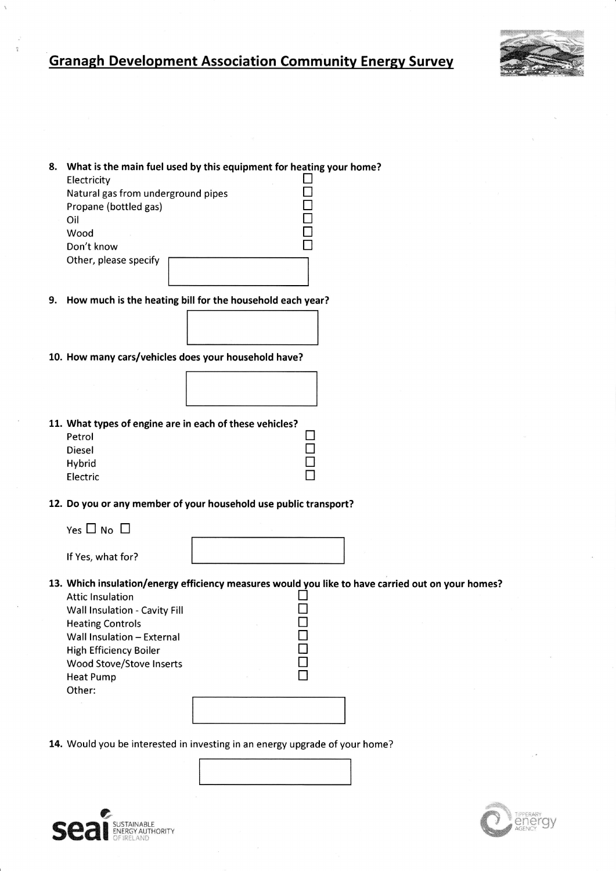## **Granagh Development Association Community Energy Survey**

home?



| 8. | What is the main fuel used by this equipment for heating your |  |
|----|---------------------------------------------------------------|--|
|    | Electricity                                                   |  |
|    | Natural gas from underground pipes                            |  |
|    | Propane (bottled gas)                                         |  |
|    | Oil                                                           |  |
|    | Wood                                                          |  |
|    | Don't know                                                    |  |
|    | Other, please specify                                         |  |
|    |                                                               |  |
|    |                                                               |  |

9. How much is the heating bill for the household each year?

10. How many cars/vehicles does your household have?



11. What types of engine are in each of these vehicles?

| Petrol   |  |  |
|----------|--|--|
| Diesel   |  |  |
| Hybrid   |  |  |
| Electric |  |  |

12. Do you or any member of your household use public transport?

| Yes 凵 No |  |  |
|----------|--|--|
|          |  |  |

If Yes, what for?

13. Which insulation/energy efficiency measures would you like to have carried out on your homes?

**UUU** 

П

| <b>Attic Insulation</b>       |  |
|-------------------------------|--|
| Wall Insulation - Cavity Fill |  |
| <b>Heating Controls</b>       |  |
| Wall Insulation - External    |  |
| High Efficiency Boiler        |  |
| Wood Stove/Stove Inserts      |  |
| Heat Pump                     |  |
| Other:                        |  |
|                               |  |
|                               |  |
|                               |  |

14. Would you be interested in investing in an energy upgrade of your home?